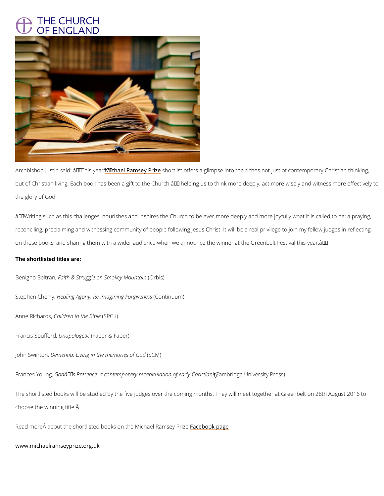## THE CHURCH<br>OF ENGLAND

Archbishop Justin said: M $\hat{a}$ choa $\overline{e}$  hifs ay researy  $\hat{a}$  heroting into a glimpse into the riches not just of contemporary  $\hat{a}$ but of Christian living. Each book has been a gift to the Church  $\hat{a} \in H$  helping us to think more the glory of God.

 $\hat{\mathbf{a}} \in \mathbf{\infty}$  Writing such as this challenges, nourishes and inspires the Church to be ever more deep reconciling, proclaiming and witnessing community of people following Jesus Christ. It will b on these books, and sharing them with a wider audience when we announce the winner at the The shortlisted titles are:

```
Benigno Beffariath, & Struggle on Smo@etyi & nountain
```
Stephen ChHearatyi, ng Agony: Re-imaginino Thomogin openess

Anne Rich Cahd bod ren in the BEC Ks of

```
Francis Spulfinfoampob, logie tailwer & Faber)
```

```
John Swi\mathbf Dteomentia: Living in the menomolies of God
```
Frances Y Goondgâ,€™s Presence: a contemporary recapiCtaumhabtriicdmg oo fUonaivebyrsOl hyriBrieasmsi)ty

The shortlisted books will be studied by the five judges over the coming months. They will m choose the winning title.

Read more  $\hat{A}$  about the shortlisted books on the macel blow and a Ragem sey Prize

[www.michaelramseypr](http://www.michaelramseyprize.org.uk/)ize.org.uk